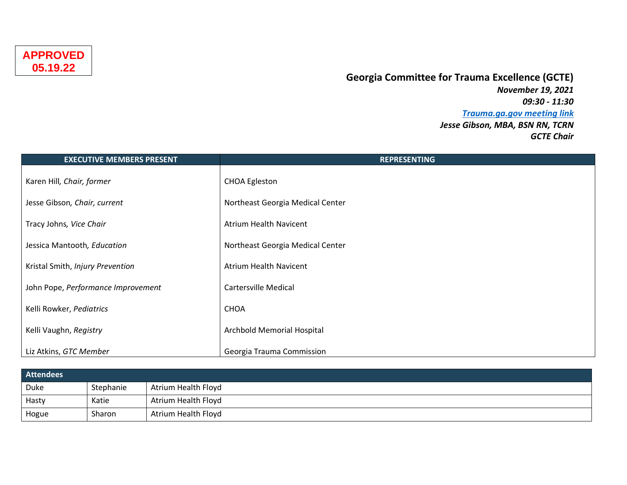## **Georgia Committee for Trauma Excellence (GCTE)**

*November 19, 2021 09:30 - 11:30 [Trauma.ga.gov meeting link](https://trauma.georgia.gov/events/2021-11-19/gtc-georgia-committee-trauma-excellence-gcte-meeting) Jesse Gibson, MBA, BSN RN, TCRN GCTE Chair*

| <b>EXECUTIVE MEMBERS PRESENT</b>   | <b>REPRESENTING</b>              |
|------------------------------------|----------------------------------|
| Karen Hill, Chair, former          | <b>CHOA Egleston</b>             |
| Jesse Gibson, Chair, current       | Northeast Georgia Medical Center |
| Tracy Johns, Vice Chair            | <b>Atrium Health Navicent</b>    |
| Jessica Mantooth, Education        | Northeast Georgia Medical Center |
| Kristal Smith, Injury Prevention   | <b>Atrium Health Navicent</b>    |
| John Pope, Performance Improvement | <b>Cartersville Medical</b>      |
| Kelli Rowker, Pediatrics           | <b>CHOA</b>                      |
| Kelli Vaughn, Registry             | Archbold Memorial Hospital       |
| Liz Atkins, GTC Member             | Georgia Trauma Commission        |

| <b>Attendees</b> |           |                     |
|------------------|-----------|---------------------|
| Duke             | Stephanie | Atrium Health Floyd |
| Hasty            | Katie     | Atrium Health Floyd |
| Hogue            | Sharon    | Atrium Health Floyd |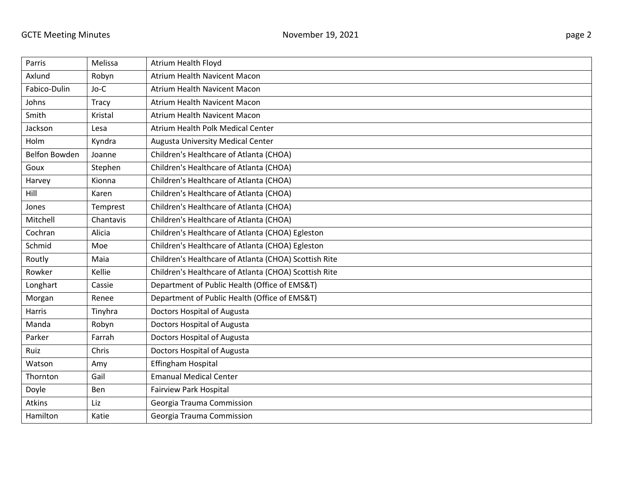| Parris        | Melissa      | <b>Atrium Health Floyd</b>                            |
|---------------|--------------|-------------------------------------------------------|
| Axlund        | Robyn        | Atrium Health Navicent Macon                          |
| Fabico-Dulin  | Jo-C         | Atrium Health Navicent Macon                          |
| Johns         | <b>Tracy</b> | Atrium Health Navicent Macon                          |
| Smith         | Kristal      | Atrium Health Navicent Macon                          |
| Jackson       | Lesa         | Atrium Health Polk Medical Center                     |
| Holm          | Kyndra       | <b>Augusta University Medical Center</b>              |
| Belfon Bowden | Joanne       | Children's Healthcare of Atlanta (CHOA)               |
| Goux          | Stephen      | Children's Healthcare of Atlanta (CHOA)               |
| Harvey        | Kionna       | Children's Healthcare of Atlanta (CHOA)               |
| Hill          | Karen        | Children's Healthcare of Atlanta (CHOA)               |
| Jones         | Temprest     | Children's Healthcare of Atlanta (CHOA)               |
| Mitchell      | Chantavis    | Children's Healthcare of Atlanta (CHOA)               |
| Cochran       | Alicia       | Children's Healthcare of Atlanta (CHOA) Egleston      |
| Schmid        | Moe          | Children's Healthcare of Atlanta (CHOA) Egleston      |
| Routly        | Maia         | Children's Healthcare of Atlanta (CHOA) Scottish Rite |
| Rowker        | Kellie       | Children's Healthcare of Atlanta (CHOA) Scottish Rite |
| Longhart      | Cassie       | Department of Public Health (Office of EMS&T)         |
| Morgan        | Renee        | Department of Public Health (Office of EMS&T)         |
| Harris        | Tinyhra      | Doctors Hospital of Augusta                           |
| Manda         | Robyn        | Doctors Hospital of Augusta                           |
| Parker        | Farrah       | Doctors Hospital of Augusta                           |
| Ruiz          | Chris        | Doctors Hospital of Augusta                           |
| Watson        | Amy          | Effingham Hospital                                    |
| Thornton      | Gail         | <b>Emanual Medical Center</b>                         |
| Doyle         | Ben          | <b>Fairview Park Hospital</b>                         |
| Atkins        | Liz          | Georgia Trauma Commission                             |
| Hamilton      | Katie        | Georgia Trauma Commission                             |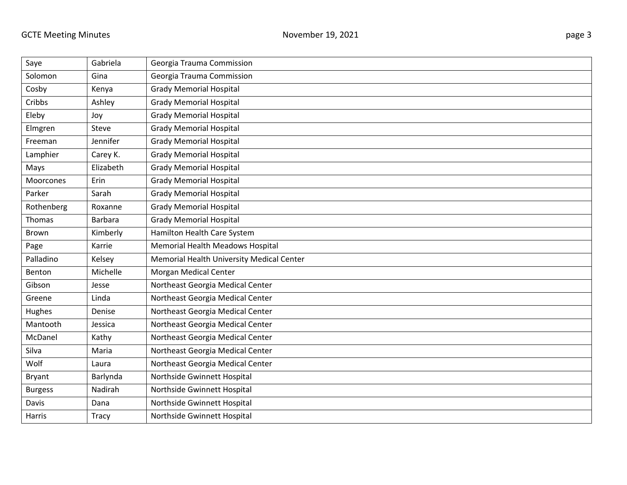| Saye           | Gabriela     | Georgia Trauma Commission                 |
|----------------|--------------|-------------------------------------------|
| Solomon        | Gina         | Georgia Trauma Commission                 |
| Cosby          | Kenya        | <b>Grady Memorial Hospital</b>            |
| Cribbs         | Ashley       | <b>Grady Memorial Hospital</b>            |
| Eleby          | Joy          | <b>Grady Memorial Hospital</b>            |
| Elmgren        | Steve        | <b>Grady Memorial Hospital</b>            |
| Freeman        | Jennifer     | <b>Grady Memorial Hospital</b>            |
| Lamphier       | Carey K.     | <b>Grady Memorial Hospital</b>            |
| Mays           | Elizabeth    | <b>Grady Memorial Hospital</b>            |
| Moorcones      | Erin         | <b>Grady Memorial Hospital</b>            |
| Parker         | Sarah        | <b>Grady Memorial Hospital</b>            |
| Rothenberg     | Roxanne      | <b>Grady Memorial Hospital</b>            |
| Thomas         | Barbara      | <b>Grady Memorial Hospital</b>            |
| Brown          | Kimberly     | Hamilton Health Care System               |
| Page           | Karrie       | Memorial Health Meadows Hospital          |
| Palladino      | Kelsey       | Memorial Health University Medical Center |
| Benton         | Michelle     | <b>Morgan Medical Center</b>              |
| Gibson         | Jesse        | Northeast Georgia Medical Center          |
| Greene         | Linda        | Northeast Georgia Medical Center          |
| Hughes         | Denise       | Northeast Georgia Medical Center          |
| Mantooth       | Jessica      | Northeast Georgia Medical Center          |
| McDanel        | Kathy        | Northeast Georgia Medical Center          |
| Silva          | Maria        | Northeast Georgia Medical Center          |
| Wolf           | Laura        | Northeast Georgia Medical Center          |
| Bryant         | Barlynda     | Northside Gwinnett Hospital               |
| <b>Burgess</b> | Nadirah      | Northside Gwinnett Hospital               |
| Davis          | Dana         | Northside Gwinnett Hospital               |
| Harris         | <b>Tracy</b> | Northside Gwinnett Hospital               |

and the control of the control of the control of the control of the control of the control of the control of the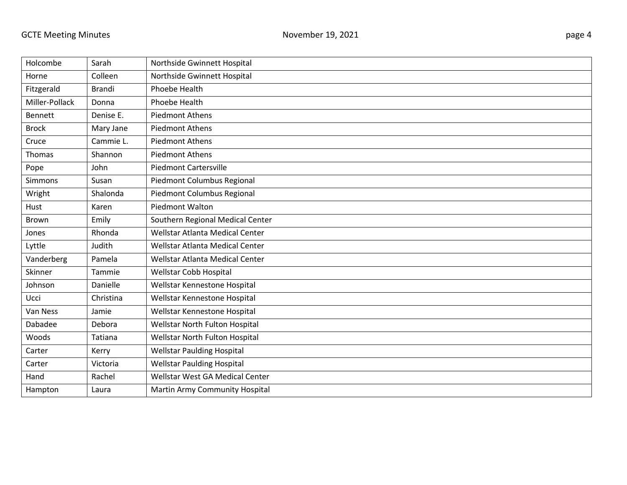| Holcombe       | Sarah         | Northside Gwinnett Hospital       |
|----------------|---------------|-----------------------------------|
| Horne          | Colleen       | Northside Gwinnett Hospital       |
| Fitzgerald     | <b>Brandi</b> | <b>Phoebe Health</b>              |
| Miller-Pollack | Donna         | Phoebe Health                     |
| <b>Bennett</b> | Denise E.     | <b>Piedmont Athens</b>            |
| <b>Brock</b>   | Mary Jane     | <b>Piedmont Athens</b>            |
| Cruce          | Cammie L.     | <b>Piedmont Athens</b>            |
| Thomas         | Shannon       | <b>Piedmont Athens</b>            |
| Pope           | John          | <b>Piedmont Cartersville</b>      |
| Simmons        | Susan         | Piedmont Columbus Regional        |
| Wright         | Shalonda      | Piedmont Columbus Regional        |
| Hust           | Karen         | Piedmont Walton                   |
| Brown          | Emily         | Southern Regional Medical Center  |
| Jones          | Rhonda        | Wellstar Atlanta Medical Center   |
| Lyttle         | Judith        | Wellstar Atlanta Medical Center   |
| Vanderberg     | Pamela        | Wellstar Atlanta Medical Center   |
| Skinner        | Tammie        | Wellstar Cobb Hospital            |
| Johnson        | Danielle      | Wellstar Kennestone Hospital      |
| Ucci           | Christina     | Wellstar Kennestone Hospital      |
| Van Ness       | Jamie         | Wellstar Kennestone Hospital      |
| Dabadee        | Debora        | Wellstar North Fulton Hospital    |
| Woods          | Tatiana       | Wellstar North Fulton Hospital    |
| Carter         | Kerry         | <b>Wellstar Paulding Hospital</b> |
| Carter         | Victoria      | <b>Wellstar Paulding Hospital</b> |
| Hand           | Rachel        | Wellstar West GA Medical Center   |
| Hampton        | Laura         | Martin Army Community Hospital    |
|                |               |                                   |

<u> 1989 - Andrea Branden, amerikansk politik (d. 1989)</u>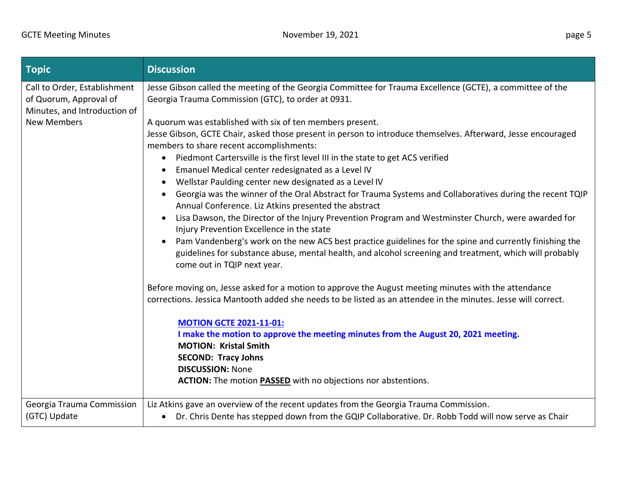| $T$ opic                                                                               | <b>Discussion</b>                                                                                                                                                                                                                                              |
|----------------------------------------------------------------------------------------|----------------------------------------------------------------------------------------------------------------------------------------------------------------------------------------------------------------------------------------------------------------|
| Call to Order, Establishment<br>of Quorum, Approval of<br>Minutes, and Introduction of | Jesse Gibson called the meeting of the Georgia Committee for Trauma Excellence (GCTE), a committee of the<br>Georgia Trauma Commission (GTC), to order at 0931.                                                                                                |
| <b>New Members</b>                                                                     | A quorum was established with six of ten members present.<br>Jesse Gibson, GCTE Chair, asked those present in person to introduce themselves. Afterward, Jesse encouraged<br>members to share recent accomplishments:                                          |
|                                                                                        | Piedmont Cartersville is the first level III in the state to get ACS verified<br>$\bullet$<br>Emanuel Medical center redesignated as a Level IV<br>$\bullet$<br>Wellstar Paulding center new designated as a Level IV<br>$\bullet$                             |
|                                                                                        | Georgia was the winner of the Oral Abstract for Trauma Systems and Collaboratives during the recent TQIP<br>Annual Conference. Liz Atkins presented the abstract                                                                                               |
|                                                                                        | Lisa Dawson, the Director of the Injury Prevention Program and Westminster Church, were awarded for<br>$\bullet$<br>Injury Prevention Excellence in the state                                                                                                  |
|                                                                                        | Pam Vandenberg's work on the new ACS best practice guidelines for the spine and currently finishing the<br>$\bullet$<br>guidelines for substance abuse, mental health, and alcohol screening and treatment, which will probably<br>come out in TQIP next year. |
|                                                                                        | Before moving on, Jesse asked for a motion to approve the August meeting minutes with the attendance<br>corrections. Jessica Mantooth added she needs to be listed as an attendee in the minutes. Jesse will correct.                                          |
|                                                                                        | <b>MOTION GCTE 2021-11-01:</b>                                                                                                                                                                                                                                 |
|                                                                                        | I make the motion to approve the meeting minutes from the August 20, 2021 meeting.<br><b>MOTION: Kristal Smith</b>                                                                                                                                             |
|                                                                                        | <b>SECOND: Tracy Johns</b><br><b>DISCUSSION: None</b>                                                                                                                                                                                                          |
|                                                                                        | ACTION: The motion <b>PASSED</b> with no objections nor abstentions.                                                                                                                                                                                           |
| Georgia Trauma Commission                                                              | Liz Atkins gave an overview of the recent updates from the Georgia Trauma Commission.                                                                                                                                                                          |
| (GTC) Update                                                                           | • Dr. Chris Dente has stepped down from the GQIP Collaborative. Dr. Robb Todd will now serve as Chair                                                                                                                                                          |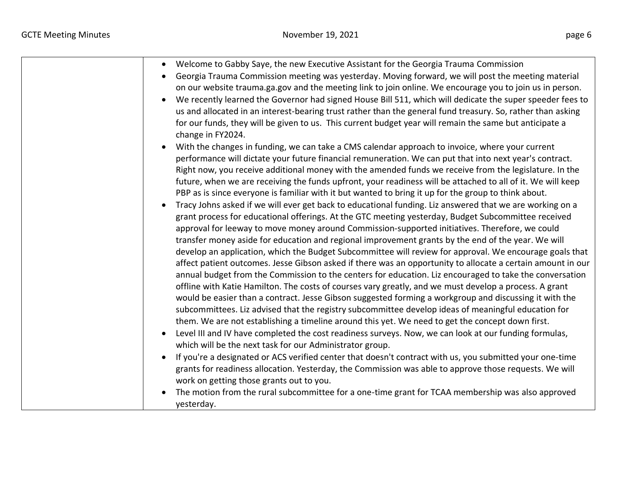| Welcome to Gabby Saye, the new Executive Assistant for the Georgia Trauma Commission<br>$\bullet$<br>Georgia Trauma Commission meeting was yesterday. Moving forward, we will post the meeting material<br>on our website trauma.ga.gov and the meeting link to join online. We encourage you to join us in person.<br>We recently learned the Governor had signed House Bill 511, which will dedicate the super speeder fees to<br>us and allocated in an interest-bearing trust rather than the general fund treasury. So, rather than asking<br>for our funds, they will be given to us. This current budget year will remain the same but anticipate a<br>change in FY2024.<br>With the changes in funding, we can take a CMS calendar approach to invoice, where your current<br>performance will dictate your future financial remuneration. We can put that into next year's contract.<br>Right now, you receive additional money with the amended funds we receive from the legislature. In the<br>future, when we are receiving the funds upfront, your readiness will be attached to all of it. We will keep<br>PBP as is since everyone is familiar with it but wanted to bring it up for the group to think about.<br>Tracy Johns asked if we will ever get back to educational funding. Liz answered that we are working on a<br>$\bullet$<br>grant process for educational offerings. At the GTC meeting yesterday, Budget Subcommittee received<br>approval for leeway to move money around Commission-supported initiatives. Therefore, we could<br>transfer money aside for education and regional improvement grants by the end of the year. We will<br>develop an application, which the Budget Subcommittee will review for approval. We encourage goals that<br>affect patient outcomes. Jesse Gibson asked if there was an opportunity to allocate a certain amount in our<br>annual budget from the Commission to the centers for education. Liz encouraged to take the conversation<br>offline with Katie Hamilton. The costs of courses vary greatly, and we must develop a process. A grant<br>would be easier than a contract. Jesse Gibson suggested forming a workgroup and discussing it with the<br>subcommittees. Liz advised that the registry subcommittee develop ideas of meaningful education for<br>them. We are not establishing a timeline around this yet. We need to get the concept down first. |
|--------------------------------------------------------------------------------------------------------------------------------------------------------------------------------------------------------------------------------------------------------------------------------------------------------------------------------------------------------------------------------------------------------------------------------------------------------------------------------------------------------------------------------------------------------------------------------------------------------------------------------------------------------------------------------------------------------------------------------------------------------------------------------------------------------------------------------------------------------------------------------------------------------------------------------------------------------------------------------------------------------------------------------------------------------------------------------------------------------------------------------------------------------------------------------------------------------------------------------------------------------------------------------------------------------------------------------------------------------------------------------------------------------------------------------------------------------------------------------------------------------------------------------------------------------------------------------------------------------------------------------------------------------------------------------------------------------------------------------------------------------------------------------------------------------------------------------------------------------------------------------------------------------------------------------------------------------------------------------------------------------------------------------------------------------------------------------------------------------------------------------------------------------------------------------------------------------------------------------------------------------------------------------------------------------------------------------------------------------------------------------------------------------------------------------------------|
|                                                                                                                                                                                                                                                                                                                                                                                                                                                                                                                                                                                                                                                                                                                                                                                                                                                                                                                                                                                                                                                                                                                                                                                                                                                                                                                                                                                                                                                                                                                                                                                                                                                                                                                                                                                                                                                                                                                                                                                                                                                                                                                                                                                                                                                                                                                                                                                                                                            |
| Level III and IV have completed the cost readiness surveys. Now, we can look at our funding formulas,<br>which will be the next task for our Administrator group.                                                                                                                                                                                                                                                                                                                                                                                                                                                                                                                                                                                                                                                                                                                                                                                                                                                                                                                                                                                                                                                                                                                                                                                                                                                                                                                                                                                                                                                                                                                                                                                                                                                                                                                                                                                                                                                                                                                                                                                                                                                                                                                                                                                                                                                                          |
| If you're a designated or ACS verified center that doesn't contract with us, you submitted your one-time<br>$\bullet$<br>grants for readiness allocation. Yesterday, the Commission was able to approve those requests. We will<br>work on getting those grants out to you.<br>The motion from the rural subcommittee for a one-time grant for TCAA membership was also approved                                                                                                                                                                                                                                                                                                                                                                                                                                                                                                                                                                                                                                                                                                                                                                                                                                                                                                                                                                                                                                                                                                                                                                                                                                                                                                                                                                                                                                                                                                                                                                                                                                                                                                                                                                                                                                                                                                                                                                                                                                                           |
| yesterday.                                                                                                                                                                                                                                                                                                                                                                                                                                                                                                                                                                                                                                                                                                                                                                                                                                                                                                                                                                                                                                                                                                                                                                                                                                                                                                                                                                                                                                                                                                                                                                                                                                                                                                                                                                                                                                                                                                                                                                                                                                                                                                                                                                                                                                                                                                                                                                                                                                 |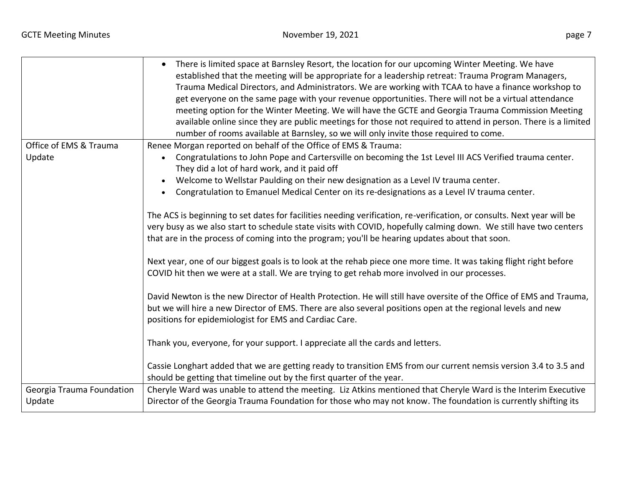|                           | There is limited space at Barnsley Resort, the location for our upcoming Winter Meeting. We have<br>established that the meeting will be appropriate for a leadership retreat: Trauma Program Managers,<br>Trauma Medical Directors, and Administrators. We are working with TCAA to have a finance workshop to<br>get everyone on the same page with your revenue opportunities. There will not be a virtual attendance<br>meeting option for the Winter Meeting. We will have the GCTE and Georgia Trauma Commission Meeting<br>available online since they are public meetings for those not required to attend in person. There is a limited<br>number of rooms available at Barnsley, so we will only invite those required to come. |
|---------------------------|-------------------------------------------------------------------------------------------------------------------------------------------------------------------------------------------------------------------------------------------------------------------------------------------------------------------------------------------------------------------------------------------------------------------------------------------------------------------------------------------------------------------------------------------------------------------------------------------------------------------------------------------------------------------------------------------------------------------------------------------|
| Office of EMS & Trauma    | Renee Morgan reported on behalf of the Office of EMS & Trauma:                                                                                                                                                                                                                                                                                                                                                                                                                                                                                                                                                                                                                                                                            |
| Update                    | Congratulations to John Pope and Cartersville on becoming the 1st Level III ACS Verified trauma center.<br>$\bullet$<br>They did a lot of hard work, and it paid off                                                                                                                                                                                                                                                                                                                                                                                                                                                                                                                                                                      |
|                           | Welcome to Wellstar Paulding on their new designation as a Level IV trauma center.<br>$\bullet$                                                                                                                                                                                                                                                                                                                                                                                                                                                                                                                                                                                                                                           |
|                           | Congratulation to Emanuel Medical Center on its re-designations as a Level IV trauma center.                                                                                                                                                                                                                                                                                                                                                                                                                                                                                                                                                                                                                                              |
|                           |                                                                                                                                                                                                                                                                                                                                                                                                                                                                                                                                                                                                                                                                                                                                           |
|                           | The ACS is beginning to set dates for facilities needing verification, re-verification, or consults. Next year will be                                                                                                                                                                                                                                                                                                                                                                                                                                                                                                                                                                                                                    |
|                           | very busy as we also start to schedule state visits with COVID, hopefully calming down. We still have two centers                                                                                                                                                                                                                                                                                                                                                                                                                                                                                                                                                                                                                         |
|                           | that are in the process of coming into the program; you'll be hearing updates about that soon.                                                                                                                                                                                                                                                                                                                                                                                                                                                                                                                                                                                                                                            |
|                           |                                                                                                                                                                                                                                                                                                                                                                                                                                                                                                                                                                                                                                                                                                                                           |
|                           | Next year, one of our biggest goals is to look at the rehab piece one more time. It was taking flight right before                                                                                                                                                                                                                                                                                                                                                                                                                                                                                                                                                                                                                        |
|                           | COVID hit then we were at a stall. We are trying to get rehab more involved in our processes.                                                                                                                                                                                                                                                                                                                                                                                                                                                                                                                                                                                                                                             |
|                           |                                                                                                                                                                                                                                                                                                                                                                                                                                                                                                                                                                                                                                                                                                                                           |
|                           | David Newton is the new Director of Health Protection. He will still have oversite of the Office of EMS and Trauma,                                                                                                                                                                                                                                                                                                                                                                                                                                                                                                                                                                                                                       |
|                           | but we will hire a new Director of EMS. There are also several positions open at the regional levels and new                                                                                                                                                                                                                                                                                                                                                                                                                                                                                                                                                                                                                              |
|                           | positions for epidemiologist for EMS and Cardiac Care.                                                                                                                                                                                                                                                                                                                                                                                                                                                                                                                                                                                                                                                                                    |
|                           |                                                                                                                                                                                                                                                                                                                                                                                                                                                                                                                                                                                                                                                                                                                                           |
|                           | Thank you, everyone, for your support. I appreciate all the cards and letters.                                                                                                                                                                                                                                                                                                                                                                                                                                                                                                                                                                                                                                                            |
|                           |                                                                                                                                                                                                                                                                                                                                                                                                                                                                                                                                                                                                                                                                                                                                           |
|                           | Cassie Longhart added that we are getting ready to transition EMS from our current nemsis version 3.4 to 3.5 and                                                                                                                                                                                                                                                                                                                                                                                                                                                                                                                                                                                                                          |
|                           | should be getting that timeline out by the first quarter of the year.                                                                                                                                                                                                                                                                                                                                                                                                                                                                                                                                                                                                                                                                     |
| Georgia Trauma Foundation | Cheryle Ward was unable to attend the meeting. Liz Atkins mentioned that Cheryle Ward is the Interim Executive                                                                                                                                                                                                                                                                                                                                                                                                                                                                                                                                                                                                                            |
| Update                    | Director of the Georgia Trauma Foundation for those who may not know. The foundation is currently shifting its                                                                                                                                                                                                                                                                                                                                                                                                                                                                                                                                                                                                                            |
|                           |                                                                                                                                                                                                                                                                                                                                                                                                                                                                                                                                                                                                                                                                                                                                           |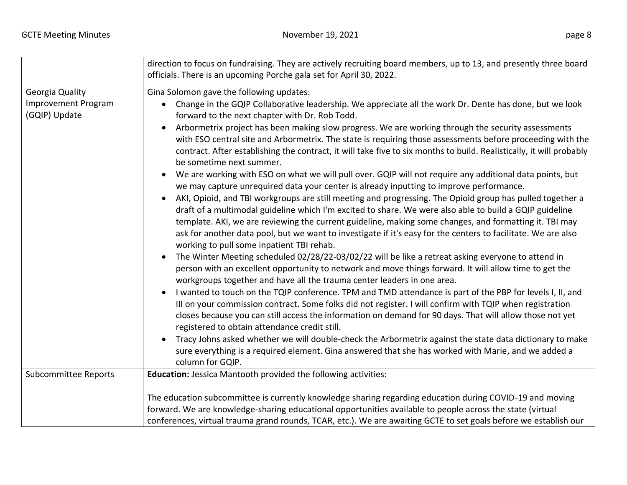|                                             | direction to focus on fundraising. They are actively recruiting board members, up to 13, and presently three board<br>officials. There is an upcoming Porche gala set for April 30, 2022.                                                                                                                                                                                                                                                                                                                 |
|---------------------------------------------|-----------------------------------------------------------------------------------------------------------------------------------------------------------------------------------------------------------------------------------------------------------------------------------------------------------------------------------------------------------------------------------------------------------------------------------------------------------------------------------------------------------|
| Georgia Quality                             | Gina Solomon gave the following updates:                                                                                                                                                                                                                                                                                                                                                                                                                                                                  |
| <b>Improvement Program</b><br>(GQIP) Update | Change in the GQIP Collaborative leadership. We appreciate all the work Dr. Dente has done, but we look<br>$\bullet$<br>forward to the next chapter with Dr. Rob Todd.                                                                                                                                                                                                                                                                                                                                    |
|                                             | Arbormetrix project has been making slow progress. We are working through the security assessments<br>$\bullet$<br>with ESO central site and Arbormetrix. The state is requiring those assessments before proceeding with the<br>contract. After establishing the contract, it will take five to six months to build. Realistically, it will probably<br>be sometime next summer.                                                                                                                         |
|                                             | We are working with ESO on what we will pull over. GQIP will not require any additional data points, but<br>$\bullet$<br>we may capture unrequired data your center is already inputting to improve performance.                                                                                                                                                                                                                                                                                          |
|                                             | AKI, Opioid, and TBI workgroups are still meeting and progressing. The Opioid group has pulled together a<br>$\bullet$<br>draft of a multimodal guideline which I'm excited to share. We were also able to build a GQIP guideline<br>template. AKI, we are reviewing the current guideline, making some changes, and formatting it. TBI may<br>ask for another data pool, but we want to investigate if it's easy for the centers to facilitate. We are also<br>working to pull some inpatient TBI rehab. |
|                                             | The Winter Meeting scheduled 02/28/22-03/02/22 will be like a retreat asking everyone to attend in<br>$\bullet$<br>person with an excellent opportunity to network and move things forward. It will allow time to get the<br>workgroups together and have all the trauma center leaders in one area.                                                                                                                                                                                                      |
|                                             | I wanted to touch on the TQIP conference. TPM and TMD attendance is part of the PBP for levels I, II, and<br>$\bullet$<br>III on your commission contract. Some folks did not register. I will confirm with TQIP when registration<br>closes because you can still access the information on demand for 90 days. That will allow those not yet<br>registered to obtain attendance credit still.                                                                                                           |
|                                             | Tracy Johns asked whether we will double-check the Arbormetrix against the state data dictionary to make<br>$\bullet$<br>sure everything is a required element. Gina answered that she has worked with Marie, and we added a<br>column for GQIP.                                                                                                                                                                                                                                                          |
| <b>Subcommittee Reports</b>                 | Education: Jessica Mantooth provided the following activities:                                                                                                                                                                                                                                                                                                                                                                                                                                            |
|                                             | The education subcommittee is currently knowledge sharing regarding education during COVID-19 and moving<br>forward. We are knowledge-sharing educational opportunities available to people across the state (virtual<br>conferences, virtual trauma grand rounds, TCAR, etc.). We are awaiting GCTE to set goals before we establish our                                                                                                                                                                 |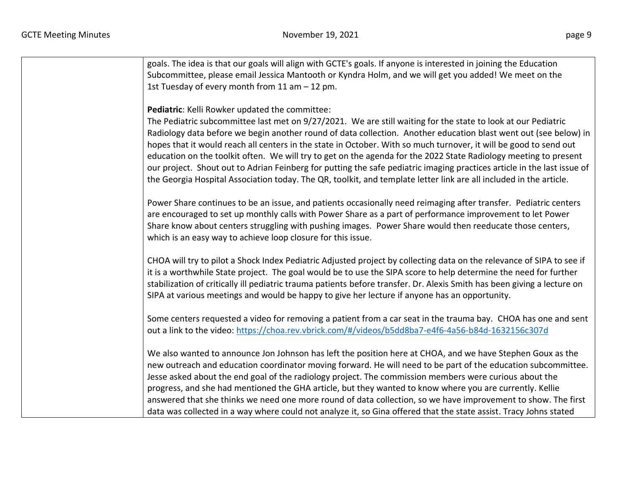| goals. The idea is that our goals will align with GCTE's goals. If anyone is interested in joining the Education<br>Subcommittee, please email Jessica Mantooth or Kyndra Holm, and we will get you added! We meet on the<br>1st Tuesday of every month from 11 am - 12 pm.                                                                                                                                                                                                                                                                                                                                                                                                                                                                                                   |
|-------------------------------------------------------------------------------------------------------------------------------------------------------------------------------------------------------------------------------------------------------------------------------------------------------------------------------------------------------------------------------------------------------------------------------------------------------------------------------------------------------------------------------------------------------------------------------------------------------------------------------------------------------------------------------------------------------------------------------------------------------------------------------|
| Pediatric: Kelli Rowker updated the committee:<br>The Pediatric subcommittee last met on 9/27/2021. We are still waiting for the state to look at our Pediatric<br>Radiology data before we begin another round of data collection. Another education blast went out (see below) in<br>hopes that it would reach all centers in the state in October. With so much turnover, it will be good to send out<br>education on the toolkit often. We will try to get on the agenda for the 2022 State Radiology meeting to present<br>our project. Shout out to Adrian Feinberg for putting the safe pediatric imaging practices article in the last issue of<br>the Georgia Hospital Association today. The QR, toolkit, and template letter link are all included in the article. |
| Power Share continues to be an issue, and patients occasionally need reimaging after transfer. Pediatric centers<br>are encouraged to set up monthly calls with Power Share as a part of performance improvement to let Power<br>Share know about centers struggling with pushing images. Power Share would then reeducate those centers,<br>which is an easy way to achieve loop closure for this issue.                                                                                                                                                                                                                                                                                                                                                                     |
| CHOA will try to pilot a Shock Index Pediatric Adjusted project by collecting data on the relevance of SIPA to see if<br>it is a worthwhile State project. The goal would be to use the SIPA score to help determine the need for further<br>stabilization of critically ill pediatric trauma patients before transfer. Dr. Alexis Smith has been giving a lecture on<br>SIPA at various meetings and would be happy to give her lecture if anyone has an opportunity.                                                                                                                                                                                                                                                                                                        |
| Some centers requested a video for removing a patient from a car seat in the trauma bay. CHOA has one and sent<br>out a link to the video: https://choa.rev.vbrick.com/#/videos/b5dd8ba7-e4f6-4a56-b84d-1632156c307d                                                                                                                                                                                                                                                                                                                                                                                                                                                                                                                                                          |
| We also wanted to announce Jon Johnson has left the position here at CHOA, and we have Stephen Goux as the<br>new outreach and education coordinator moving forward. He will need to be part of the education subcommittee.<br>Jesse asked about the end goal of the radiology project. The commission members were curious about the<br>progress, and she had mentioned the GHA article, but they wanted to know where you are currently. Kellie<br>answered that she thinks we need one more round of data collection, so we have improvement to show. The first<br>data was collected in a way where could not analyze it, so Gina offered that the state assist. Tracy Johns stated                                                                                       |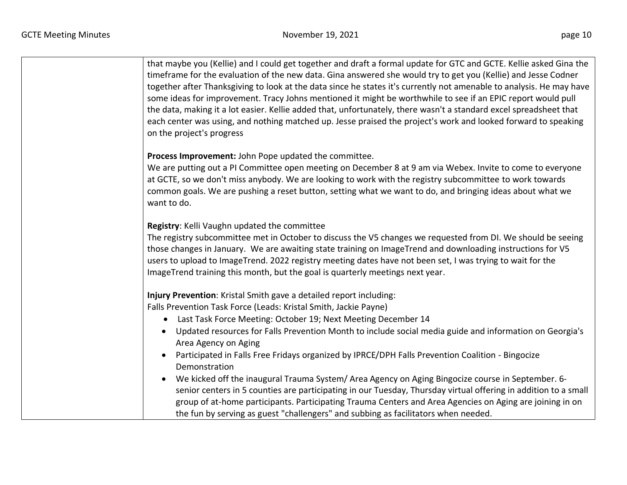| that maybe you (Kellie) and I could get together and draft a formal update for GTC and GCTE. Kellie asked Gina the<br>timeframe for the evaluation of the new data. Gina answered she would try to get you (Kellie) and Jesse Codner<br>together after Thanksgiving to look at the data since he states it's currently not amenable to analysis. He may have<br>some ideas for improvement. Tracy Johns mentioned it might be worthwhile to see if an EPIC report would pull<br>the data, making it a lot easier. Kellie added that, unfortunately, there wasn't a standard excel spreadsheet that<br>each center was using, and nothing matched up. Jesse praised the project's work and looked forward to speaking<br>on the project's progress<br>Process Improvement: John Pope updated the committee.<br>We are putting out a PI Committee open meeting on December 8 at 9 am via Webex. Invite to come to everyone<br>at GCTE, so we don't miss anybody. We are looking to work with the registry subcommittee to work towards<br>common goals. We are pushing a reset button, setting what we want to do, and bringing ideas about what we<br>want to do.<br>Registry: Kelli Vaughn updated the committee<br>The registry subcommittee met in October to discuss the V5 changes we requested from DI. We should be seeing<br>those changes in January. We are awaiting state training on ImageTrend and downloading instructions for V5<br>users to upload to ImageTrend. 2022 registry meeting dates have not been set, I was trying to wait for the<br>ImageTrend training this month, but the goal is quarterly meetings next year.<br>Injury Prevention: Kristal Smith gave a detailed report including:<br>Falls Prevention Task Force (Leads: Kristal Smith, Jackie Payne)<br>Last Task Force Meeting: October 19; Next Meeting December 14<br>$\bullet$<br>Updated resources for Falls Prevention Month to include social media guide and information on Georgia's<br>Area Agency on Aging<br>Participated in Falls Free Fridays organized by IPRCE/DPH Falls Prevention Coalition - Bingocize<br>Demonstration<br>We kicked off the inaugural Trauma System/ Area Agency on Aging Bingocize course in September. 6-<br>senior centers in 5 counties are participating in our Tuesday, Thursday virtual offering in addition to a small<br>group of at-home participants. Participating Trauma Centers and Area Agencies on Aging are joining in on |                                                                                    |
|-------------------------------------------------------------------------------------------------------------------------------------------------------------------------------------------------------------------------------------------------------------------------------------------------------------------------------------------------------------------------------------------------------------------------------------------------------------------------------------------------------------------------------------------------------------------------------------------------------------------------------------------------------------------------------------------------------------------------------------------------------------------------------------------------------------------------------------------------------------------------------------------------------------------------------------------------------------------------------------------------------------------------------------------------------------------------------------------------------------------------------------------------------------------------------------------------------------------------------------------------------------------------------------------------------------------------------------------------------------------------------------------------------------------------------------------------------------------------------------------------------------------------------------------------------------------------------------------------------------------------------------------------------------------------------------------------------------------------------------------------------------------------------------------------------------------------------------------------------------------------------------------------------------------------------------------------------------------------------------------------------------------------------------------------------------------------------------------------------------------------------------------------------------------------------------------------------------------------------------------------------------------------------------------------------------------------------------------------------------------------------------------------------------------------------------------------------------------|------------------------------------------------------------------------------------|
|                                                                                                                                                                                                                                                                                                                                                                                                                                                                                                                                                                                                                                                                                                                                                                                                                                                                                                                                                                                                                                                                                                                                                                                                                                                                                                                                                                                                                                                                                                                                                                                                                                                                                                                                                                                                                                                                                                                                                                                                                                                                                                                                                                                                                                                                                                                                                                                                                                                                   |                                                                                    |
|                                                                                                                                                                                                                                                                                                                                                                                                                                                                                                                                                                                                                                                                                                                                                                                                                                                                                                                                                                                                                                                                                                                                                                                                                                                                                                                                                                                                                                                                                                                                                                                                                                                                                                                                                                                                                                                                                                                                                                                                                                                                                                                                                                                                                                                                                                                                                                                                                                                                   |                                                                                    |
|                                                                                                                                                                                                                                                                                                                                                                                                                                                                                                                                                                                                                                                                                                                                                                                                                                                                                                                                                                                                                                                                                                                                                                                                                                                                                                                                                                                                                                                                                                                                                                                                                                                                                                                                                                                                                                                                                                                                                                                                                                                                                                                                                                                                                                                                                                                                                                                                                                                                   |                                                                                    |
|                                                                                                                                                                                                                                                                                                                                                                                                                                                                                                                                                                                                                                                                                                                                                                                                                                                                                                                                                                                                                                                                                                                                                                                                                                                                                                                                                                                                                                                                                                                                                                                                                                                                                                                                                                                                                                                                                                                                                                                                                                                                                                                                                                                                                                                                                                                                                                                                                                                                   |                                                                                    |
|                                                                                                                                                                                                                                                                                                                                                                                                                                                                                                                                                                                                                                                                                                                                                                                                                                                                                                                                                                                                                                                                                                                                                                                                                                                                                                                                                                                                                                                                                                                                                                                                                                                                                                                                                                                                                                                                                                                                                                                                                                                                                                                                                                                                                                                                                                                                                                                                                                                                   |                                                                                    |
|                                                                                                                                                                                                                                                                                                                                                                                                                                                                                                                                                                                                                                                                                                                                                                                                                                                                                                                                                                                                                                                                                                                                                                                                                                                                                                                                                                                                                                                                                                                                                                                                                                                                                                                                                                                                                                                                                                                                                                                                                                                                                                                                                                                                                                                                                                                                                                                                                                                                   |                                                                                    |
|                                                                                                                                                                                                                                                                                                                                                                                                                                                                                                                                                                                                                                                                                                                                                                                                                                                                                                                                                                                                                                                                                                                                                                                                                                                                                                                                                                                                                                                                                                                                                                                                                                                                                                                                                                                                                                                                                                                                                                                                                                                                                                                                                                                                                                                                                                                                                                                                                                                                   |                                                                                    |
|                                                                                                                                                                                                                                                                                                                                                                                                                                                                                                                                                                                                                                                                                                                                                                                                                                                                                                                                                                                                                                                                                                                                                                                                                                                                                                                                                                                                                                                                                                                                                                                                                                                                                                                                                                                                                                                                                                                                                                                                                                                                                                                                                                                                                                                                                                                                                                                                                                                                   |                                                                                    |
|                                                                                                                                                                                                                                                                                                                                                                                                                                                                                                                                                                                                                                                                                                                                                                                                                                                                                                                                                                                                                                                                                                                                                                                                                                                                                                                                                                                                                                                                                                                                                                                                                                                                                                                                                                                                                                                                                                                                                                                                                                                                                                                                                                                                                                                                                                                                                                                                                                                                   |                                                                                    |
|                                                                                                                                                                                                                                                                                                                                                                                                                                                                                                                                                                                                                                                                                                                                                                                                                                                                                                                                                                                                                                                                                                                                                                                                                                                                                                                                                                                                                                                                                                                                                                                                                                                                                                                                                                                                                                                                                                                                                                                                                                                                                                                                                                                                                                                                                                                                                                                                                                                                   |                                                                                    |
|                                                                                                                                                                                                                                                                                                                                                                                                                                                                                                                                                                                                                                                                                                                                                                                                                                                                                                                                                                                                                                                                                                                                                                                                                                                                                                                                                                                                                                                                                                                                                                                                                                                                                                                                                                                                                                                                                                                                                                                                                                                                                                                                                                                                                                                                                                                                                                                                                                                                   | the fun by serving as guest "challengers" and subbing as facilitators when needed. |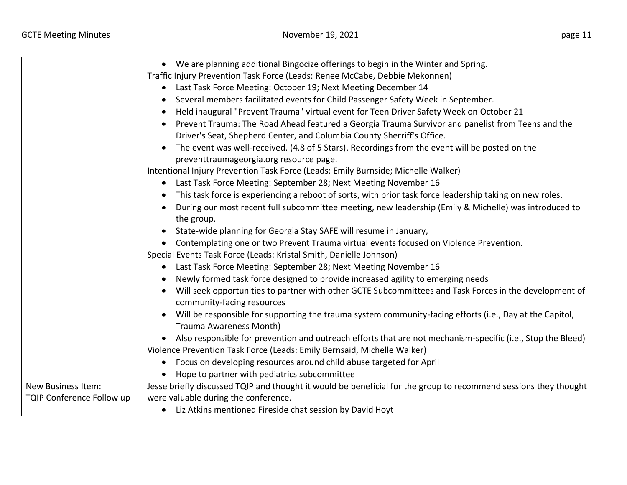|                           | We are planning additional Bingocize offerings to begin in the Winter and Spring.<br>$\bullet$                        |
|---------------------------|-----------------------------------------------------------------------------------------------------------------------|
|                           | Traffic Injury Prevention Task Force (Leads: Renee McCabe, Debbie Mekonnen)                                           |
|                           | Last Task Force Meeting: October 19; Next Meeting December 14<br>$\bullet$                                            |
|                           | Several members facilitated events for Child Passenger Safety Week in September.                                      |
|                           | Held inaugural "Prevent Trauma" virtual event for Teen Driver Safety Week on October 21<br>$\bullet$                  |
|                           | Prevent Trauma: The Road Ahead featured a Georgia Trauma Survivor and panelist from Teens and the                     |
|                           | Driver's Seat, Shepherd Center, and Columbia County Sherriff's Office.                                                |
|                           | The event was well-received. (4.8 of 5 Stars). Recordings from the event will be posted on the<br>$\bullet$           |
|                           | preventtraumageorgia.org resource page.                                                                               |
|                           | Intentional Injury Prevention Task Force (Leads: Emily Burnside; Michelle Walker)                                     |
|                           | Last Task Force Meeting: September 28; Next Meeting November 16<br>$\bullet$                                          |
|                           | This task force is experiencing a reboot of sorts, with prior task force leadership taking on new roles.<br>$\bullet$ |
|                           | During our most recent full subcommittee meeting, new leadership (Emily & Michelle) was introduced to<br>$\bullet$    |
|                           | the group.                                                                                                            |
|                           | State-wide planning for Georgia Stay SAFE will resume in January,<br>$\bullet$                                        |
|                           | Contemplating one or two Prevent Trauma virtual events focused on Violence Prevention.                                |
|                           | Special Events Task Force (Leads: Kristal Smith, Danielle Johnson)                                                    |
|                           | Last Task Force Meeting: September 28; Next Meeting November 16                                                       |
|                           | Newly formed task force designed to provide increased agility to emerging needs                                       |
|                           | Will seek opportunities to partner with other GCTE Subcommittees and Task Forces in the development of                |
|                           | community-facing resources                                                                                            |
|                           | Will be responsible for supporting the trauma system community-facing efforts (i.e., Day at the Capitol,              |
|                           | Trauma Awareness Month)                                                                                               |
|                           | Also responsible for prevention and outreach efforts that are not mechanism-specific (i.e., Stop the Bleed)           |
|                           | Violence Prevention Task Force (Leads: Emily Bernsaid, Michelle Walker)                                               |
|                           | Focus on developing resources around child abuse targeted for April<br>$\bullet$                                      |
|                           | Hope to partner with pediatrics subcommittee                                                                          |
| <b>New Business Item:</b> | Jesse briefly discussed TQIP and thought it would be beneficial for the group to recommend sessions they thought      |
| TQIP Conference Follow up | were valuable during the conference.                                                                                  |
|                           | • Liz Atkins mentioned Fireside chat session by David Hoyt                                                            |